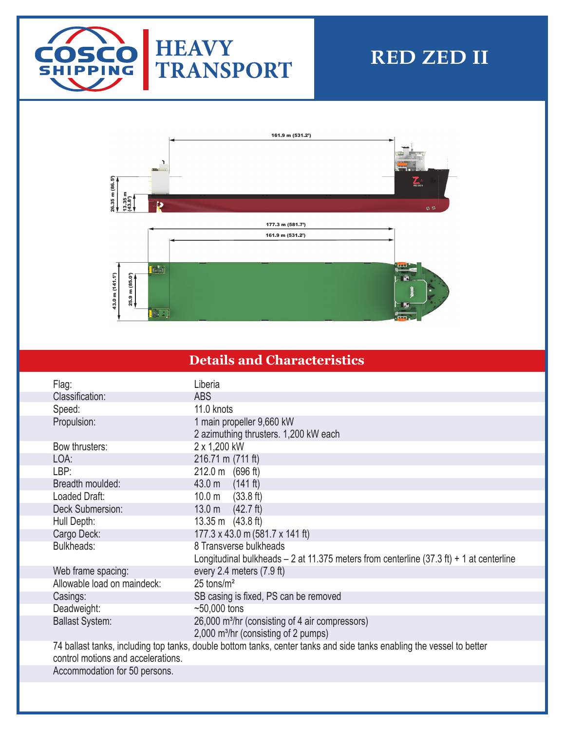

# **RED ZED II**



### **Details and Characteristics**

| Flag:                              | Liberia                                                                                                               |
|------------------------------------|-----------------------------------------------------------------------------------------------------------------------|
| Classification:                    | <b>ABS</b>                                                                                                            |
| Speed:                             | 11.0 knots                                                                                                            |
| Propulsion:                        | 1 main propeller 9,660 kW                                                                                             |
|                                    | 2 azimuthing thrusters. 1,200 kW each                                                                                 |
| Bow thrusters:                     | 2 x 1,200 kW                                                                                                          |
| LOA:                               | 216.71 m (711 ft)                                                                                                     |
| LBP:                               | 212.0 m (696 ft)                                                                                                      |
| Breadth moulded:                   | 43.0 m<br>(141 ft)                                                                                                    |
| Loaded Draft:                      | $10.0 m$ (33.8 ft)                                                                                                    |
| Deck Submersion:                   | 13.0 <sub>m</sub><br>$(42.7 \text{ ft})$                                                                              |
| Hull Depth:                        | 13.35 m (43.8 ft)                                                                                                     |
| Cargo Deck:                        | 177.3 x 43.0 m (581.7 x 141 ft)                                                                                       |
| Bulkheads:                         | 8 Transverse bulkheads                                                                                                |
|                                    | Longitudinal bulkheads $-2$ at 11.375 meters from centerline (37.3 ft) $+1$ at centerline                             |
| Web frame spacing:                 | every 2.4 meters (7.9 ft)                                                                                             |
| Allowable load on maindeck:        | $25 \text{ tons/m}^2$                                                                                                 |
| Casings:                           | SB casing is fixed, PS can be removed                                                                                 |
| Deadweight:                        | $~50,000$ tons                                                                                                        |
| <b>Ballast System:</b>             | 26,000 m <sup>3</sup> /hr (consisting of 4 air compressors)                                                           |
|                                    | 2,000 m <sup>3</sup> /hr (consisting of 2 pumps)                                                                      |
|                                    | 74 ballast tanks, including top tanks, double bottom tanks, center tanks and side tanks enabling the vessel to better |
| control motions and accelerations. |                                                                                                                       |
| Accommodation for 50 persons.      |                                                                                                                       |
|                                    |                                                                                                                       |